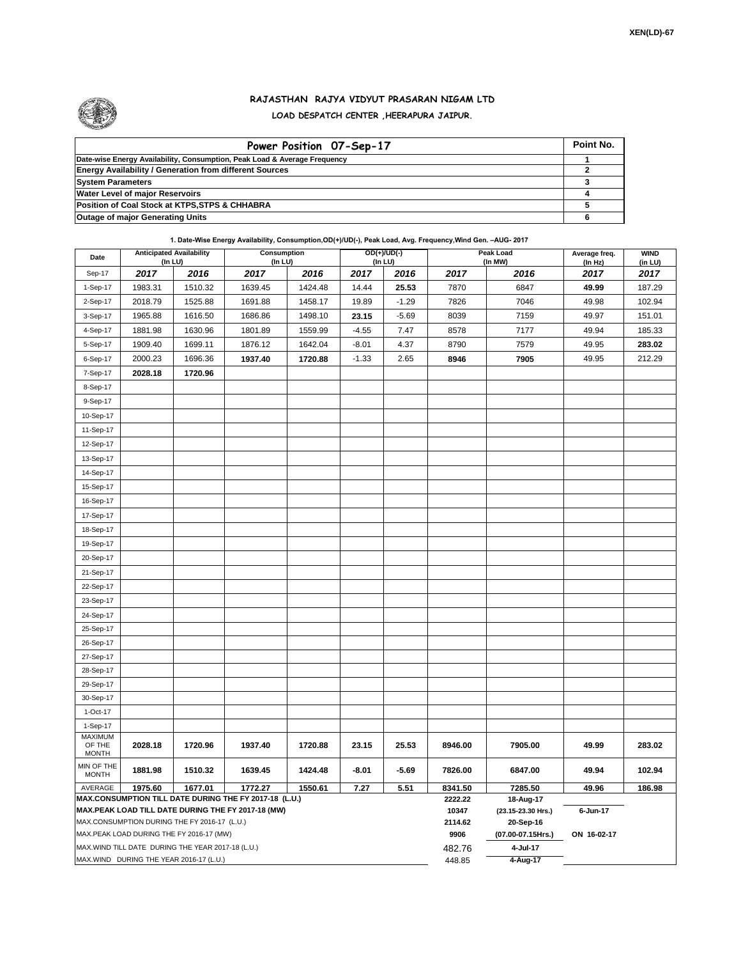

## **RAJASTHAN RAJYA VIDYUT PRASARAN NIGAM LTD LOAD DESPATCH CENTER ,HEERAPURA JAIPUR.**

| Power Position 07-Sep-17                                                  | Point No. |
|---------------------------------------------------------------------------|-----------|
| Date-wise Energy Availability, Consumption, Peak Load & Average Frequency |           |
| <b>Energy Availability / Generation from different Sources</b>            |           |
| <b>System Parameters</b>                                                  |           |
| <b>Water Level of major Reservoirs</b>                                    |           |
| Position of Coal Stock at KTPS, STPS & CHHABRA                            |           |
| <b>Outage of major Generating Units</b>                                   |           |

**1. Date-Wise Energy Availability, Consumption,OD(+)/UD(-), Peak Load, Avg. Frequency,Wind Gen. –AUG- 2017**

| Date                                                                                               |         | <b>Anticipated Availability</b><br>(In LU)        |                                                        | Consumption<br>OD(+)/UD(-)<br>Peak Load<br>(In LU)<br>$($ In LU $)$ |         | (In MW) | Average freq.<br>(In Hz) | <b>WIND</b><br>(in LU)          |             |        |  |  |  |
|----------------------------------------------------------------------------------------------------|---------|---------------------------------------------------|--------------------------------------------------------|---------------------------------------------------------------------|---------|---------|--------------------------|---------------------------------|-------------|--------|--|--|--|
| Sep-17                                                                                             | 2017    | 2016                                              | 2017                                                   | 2016                                                                | 2017    | 2016    | 2017                     | 2016                            | 2017        | 2017   |  |  |  |
| 1-Sep-17                                                                                           | 1983.31 | 1510.32                                           | 1639.45                                                | 1424.48                                                             | 14.44   | 25.53   | 7870                     | 6847                            | 49.99       | 187.29 |  |  |  |
| 2-Sep-17                                                                                           | 2018.79 | 1525.88                                           | 1691.88                                                | 1458.17                                                             | 19.89   | $-1.29$ | 7826                     | 7046                            | 49.98       | 102.94 |  |  |  |
| 3-Sep-17                                                                                           | 1965.88 | 1616.50                                           | 1686.86                                                | 1498.10                                                             | 23.15   | $-5.69$ | 8039                     | 7159                            | 49.97       | 151.01 |  |  |  |
| 4-Sep-17                                                                                           | 1881.98 | 1630.96                                           | 1801.89                                                | 1559.99                                                             | $-4.55$ | 7.47    | 8578                     | 7177                            | 49.94       | 185.33 |  |  |  |
| 5-Sep-17                                                                                           | 1909.40 | 1699.11                                           | 1876.12                                                | 1642.04                                                             | $-8.01$ | 4.37    | 8790                     | 7579                            | 49.95       | 283.02 |  |  |  |
| 6-Sep-17                                                                                           | 2000.23 | 1696.36                                           | 1937.40                                                | 1720.88                                                             | $-1.33$ | 2.65    | 8946                     | 7905                            | 49.95       | 212.29 |  |  |  |
| 7-Sep-17                                                                                           | 2028.18 | 1720.96                                           |                                                        |                                                                     |         |         |                          |                                 |             |        |  |  |  |
| 8-Sep-17                                                                                           |         |                                                   |                                                        |                                                                     |         |         |                          |                                 |             |        |  |  |  |
| 9-Sep-17                                                                                           |         |                                                   |                                                        |                                                                     |         |         |                          |                                 |             |        |  |  |  |
| 10-Sep-17                                                                                          |         |                                                   |                                                        |                                                                     |         |         |                          |                                 |             |        |  |  |  |
| 11-Sep-17                                                                                          |         |                                                   |                                                        |                                                                     |         |         |                          |                                 |             |        |  |  |  |
| 12-Sep-17                                                                                          |         |                                                   |                                                        |                                                                     |         |         |                          |                                 |             |        |  |  |  |
| 13-Sep-17                                                                                          |         |                                                   |                                                        |                                                                     |         |         |                          |                                 |             |        |  |  |  |
| 14-Sep-17                                                                                          |         |                                                   |                                                        |                                                                     |         |         |                          |                                 |             |        |  |  |  |
| 15-Sep-17                                                                                          |         |                                                   |                                                        |                                                                     |         |         |                          |                                 |             |        |  |  |  |
| 16-Sep-17                                                                                          |         |                                                   |                                                        |                                                                     |         |         |                          |                                 |             |        |  |  |  |
| 17-Sep-17                                                                                          |         |                                                   |                                                        |                                                                     |         |         |                          |                                 |             |        |  |  |  |
| 18-Sep-17                                                                                          |         |                                                   |                                                        |                                                                     |         |         |                          |                                 |             |        |  |  |  |
| 19-Sep-17                                                                                          |         |                                                   |                                                        |                                                                     |         |         |                          |                                 |             |        |  |  |  |
| 20-Sep-17                                                                                          |         |                                                   |                                                        |                                                                     |         |         |                          |                                 |             |        |  |  |  |
| 21-Sep-17                                                                                          |         |                                                   |                                                        |                                                                     |         |         |                          |                                 |             |        |  |  |  |
| 22-Sep-17                                                                                          |         |                                                   |                                                        |                                                                     |         |         |                          |                                 |             |        |  |  |  |
| 23-Sep-17                                                                                          |         |                                                   |                                                        |                                                                     |         |         |                          |                                 |             |        |  |  |  |
| 24-Sep-17                                                                                          |         |                                                   |                                                        |                                                                     |         |         |                          |                                 |             |        |  |  |  |
| 25-Sep-17                                                                                          |         |                                                   |                                                        |                                                                     |         |         |                          |                                 |             |        |  |  |  |
| 26-Sep-17                                                                                          |         |                                                   |                                                        |                                                                     |         |         |                          |                                 |             |        |  |  |  |
| 27-Sep-17                                                                                          |         |                                                   |                                                        |                                                                     |         |         |                          |                                 |             |        |  |  |  |
| 28-Sep-17                                                                                          |         |                                                   |                                                        |                                                                     |         |         |                          |                                 |             |        |  |  |  |
| 29-Sep-17                                                                                          |         |                                                   |                                                        |                                                                     |         |         |                          |                                 |             |        |  |  |  |
| 30-Sep-17                                                                                          |         |                                                   |                                                        |                                                                     |         |         |                          |                                 |             |        |  |  |  |
| $1-Oct-17$                                                                                         |         |                                                   |                                                        |                                                                     |         |         |                          |                                 |             |        |  |  |  |
| 1-Sep-17                                                                                           |         |                                                   |                                                        |                                                                     |         |         |                          |                                 |             |        |  |  |  |
| <b>MAXIMUM</b><br>OF THE                                                                           | 2028.18 | 1720.96                                           | 1937.40                                                | 1720.88                                                             | 23.15   | 25.53   | 8946.00                  | 7905.00                         | 49.99       | 283.02 |  |  |  |
| <b>MONTH</b>                                                                                       |         |                                                   |                                                        |                                                                     |         |         |                          |                                 |             |        |  |  |  |
| MIN OF THE<br><b>MONTH</b>                                                                         | 1881.98 | 1510.32                                           | 1639.45                                                | 1424.48                                                             | $-8.01$ | $-5.69$ | 7826.00                  | 6847.00                         | 49.94       | 102.94 |  |  |  |
| AVERAGE                                                                                            | 1975.60 | 1677.01                                           | 1772.27                                                | 1550.61                                                             | 7.27    | 5.51    | 8341.50                  | 7285.50                         | 49.96       | 186.98 |  |  |  |
|                                                                                                    |         |                                                   | MAX.CONSUMPTION TILL DATE DURING THE FY 2017-18 (L.U.) |                                                                     |         |         | 2222.22<br>10347         | 18-Aug-17<br>(23.15-23.30 Hrs.) | 6-Jun-17    |        |  |  |  |
| MAX.PEAK LOAD TILL DATE DURING THE FY 2017-18 (MW)<br>MAX.CONSUMPTION DURING THE FY 2016-17 (L.U.) |         |                                                   |                                                        |                                                                     |         |         | 2114.62                  | 20-Sep-16                       |             |        |  |  |  |
|                                                                                                    |         | MAX.PEAK LOAD DURING THE FY 2016-17 (MW)          |                                                        |                                                                     |         |         | 9906                     | (07.00-07.15Hrs.)               | ON 16-02-17 |        |  |  |  |
|                                                                                                    |         | MAX.WIND TILL DATE DURING THE YEAR 2017-18 (L.U.) |                                                        |                                                                     |         |         | 482.76                   | 4-Jul-17                        |             |        |  |  |  |
|                                                                                                    |         | MAX.WIND DURING THE YEAR 2016-17 (L.U.)           |                                                        |                                                                     |         |         | 448.85                   | 4-Aug-17                        |             |        |  |  |  |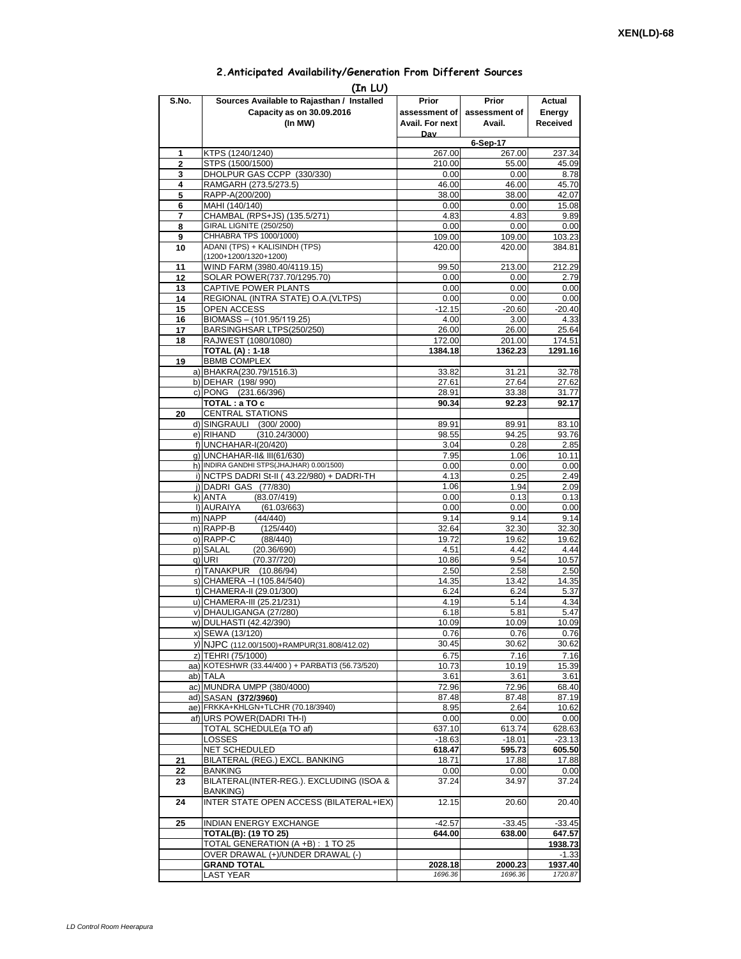## **2.Anticipated Availability/Generation From Different Sources**

|                | (In LU)                                                   |                    |                    |                    |  |
|----------------|-----------------------------------------------------------|--------------------|--------------------|--------------------|--|
| S.No.          | Sources Available to Rajasthan / Installed                | Prior              | Prior              | Actual             |  |
|                | Capacity as on 30.09.2016                                 | assessment of I    | assessment of      | Energy             |  |
|                | (In MW)                                                   | Avail. For next    | Avail.             | Received           |  |
|                |                                                           | Dav                | 6-Sep-17           |                    |  |
| 1              | KTPS (1240/1240)                                          | 267.00             | 267.00             | 237.34             |  |
| $\overline{2}$ | STPS (1500/1500)                                          | 210.00             | 55.00              | 45.09              |  |
| 3              | DHOLPUR GAS CCPP (330/330)                                | 0.00               | 0.00               | 8.78               |  |
| 4<br>5         | RAMGARH (273.5/273.5)<br>RAPP-A(200/200)                  | 46.00<br>38.00     | 46.00<br>38.00     | 45.70<br>42.07     |  |
| 6              | MAHI (140/140)                                            | 0.00               | 0.00               | 15.08              |  |
| 7              | CHAMBAL (RPS+JS) (135.5/271)                              | 4.83               | 4.83               | 9.89               |  |
| 8              | GIRAL LIGNITE (250/250)                                   | 0.00               | 0.00               | 0.00               |  |
| 9              | CHHABRA TPS 1000/1000)<br>ADANI (TPS) + KALISINDH (TPS)   | 109.00             | 109.00             | 103.23             |  |
| 10             | (1200+1200/1320+1200)                                     | 420.00             | 420.00             | 384.81             |  |
| 11             | WIND FARM (3980.40/4119.15)                               | 99.50              | 213.00             | 212.29             |  |
| 12             | SOLAR POWER(737.70/1295.70)                               | 0.00               | 0.00               | 2.79               |  |
| 13             | CAPTIVE POWER PLANTS                                      | 0.00               | 0.00               | 0.00               |  |
| 14<br>15       | REGIONAL (INTRA STATE) O.A. (VLTPS)<br><b>OPEN ACCESS</b> | 0.00<br>$-12.15$   | 0.00<br>$-20.60$   | 0.00<br>$-20.40$   |  |
| 16             | BIOMASS - (101.95/119.25)                                 | 4.00               | 3.00               | 4.33               |  |
| 17             | BARSINGHSAR LTPS(250/250)                                 | 26.00              | 26.00              | 25.64              |  |
| 18             | RAJWEST (1080/1080)                                       | 172.00             | 201.00             | 174.51             |  |
|                | <b>TOTAL (A): 1-18</b>                                    | 1384.18            | 1362.23            | 1291.16            |  |
| 19             | <b>BBMB COMPLEX</b><br>a) BHAKRA(230.79/1516.3)           | 33.82              | 31.21              | 32.78              |  |
|                | b) DEHAR (198/990)                                        | 27.61              | 27.64              | 27.62              |  |
|                | c) PONG (231.66/396)                                      | 28.91              | 33.38              | 31.77              |  |
|                | TOTAL: a TO c                                             | 90.34              | 92.23              | 92.17              |  |
| 20             | <b>CENTRAL STATIONS</b>                                   |                    |                    |                    |  |
|                | d) SINGRAULI (300/2000)<br>e) RIHAND<br>(310.24/3000)     | 89.91<br>98.55     | 89.91<br>94.25     | 83.10<br>93.76     |  |
|                | f) UNCHAHAR-I(20/420)                                     | 3.04               | 0.28               | 2.85               |  |
|                | g) UNCHAHAR-II& III(61/630)                               | 7.95               | 1.06               | 10.11              |  |
|                | h) INDIRA GANDHI STPS(JHAJHAR) 0.00/1500)                 | 0.00               | 0.00               | 0.00               |  |
|                | i) NCTPS DADRI St-II (43.22/980) + DADRI-TH               | 4.13               | 0.25               | 2.49               |  |
|                | j) DADRI GAS (77/830)<br>(83.07/419)<br>k) ANTA           | 1.06<br>0.00       | 1.94<br>0.13       | 2.09<br>0.13       |  |
|                | I) AURAIYA<br>(61.03/663)                                 | 0.00               | 0.00               | 0.00               |  |
|                | m) NAPP<br>(44/440)                                       | 9.14               | 9.14               | 9.14               |  |
|                | n) RAPP-B<br>(125/440)                                    | 32.64              | 32.30              | 32.30              |  |
|                | o) RAPP-C<br>(88/440)                                     | 19.72              | 19.62              | 19.62              |  |
|                | p) SALAL<br>(20.36/690)<br>q) URI<br>(70.37/720)          | 4.51<br>10.86      | 4.42<br>9.54       | 4.44<br>10.57      |  |
|                | r) TANAKPUR (10.86/94)                                    | 2.50               | 2.58               | 2.50               |  |
|                | s) CHAMERA - (105.84/540)                                 | 14.35              | 13.42              | 14.35              |  |
|                | t) CHAMERA-II (29.01/300)                                 | 6.24               | 6.24               | 5.37               |  |
|                | u) CHAMERA-III (25.21/231)                                | 4.19               | 5.14               | 4.34               |  |
|                | v) DHAULIGANGA (27/280)<br>w) DULHASTI (42.42/390)        | 6.18<br>10.09      | 5.81<br>10.09      | 5.47<br>10.09      |  |
|                | x) SEWA (13/120)                                          | 0.76               | 0.76               | 0.76               |  |
|                | y) NJPC (112.00/1500)+RAMPUR(31.808/412.02)               | 30.45              | 30.62              | 30.62              |  |
|                | z) TEHRI (75/1000)                                        | 6.75               | 7.16               | 7.16               |  |
|                | aa) KOTESHWR (33.44/400) + PARBATI3 (56.73/520)           | 10.73              | 10.19              | 15.39              |  |
|                | ab) TALA<br>ac) MUNDRA UMPP (380/4000)                    | 3.61               | 3.61               | 3.61               |  |
|                | ad) SASAN (372/3960)                                      | 72.96<br>87.48     | 72.96<br>87.48     | 68.40<br>87.19     |  |
|                | ae) FRKKA+KHLGN+TLCHR (70.18/3940)                        | 8.95               | 2.64               | 10.62              |  |
|                | af) URS POWER(DADRITH-I)                                  | 0.00               | 0.00               | 0.00               |  |
|                | TOTAL SCHEDULE(a TO af)                                   | 637.10             | 613.74             | 628.63             |  |
|                | LOSSES                                                    | $-18.63$           | $-18.01$           | $-23.13$           |  |
| 21             | NET SCHEDULED<br>BILATERAL (REG.) EXCL. BANKING           | 618.47<br>18.71    | 595.73<br>17.88    | 605.50<br>17.88    |  |
| 22             | BANKING                                                   | 0.00               | 0.00               | 0.00               |  |
| 23             | BILATERAL(INTER-REG.). EXCLUDING (ISOA &                  | 37.24              | 34.97              | 37.24              |  |
|                | BANKING)                                                  |                    |                    |                    |  |
| 24             | INTER STATE OPEN ACCESS (BILATERAL+IEX)                   | 12.15              | 20.60              | 20.40              |  |
| 25             | <b>INDIAN ENERGY EXCHANGE</b>                             | $-42.57$           | $-33.45$           | $-33.45$           |  |
|                | <b>TOTAL(B): (19 TO 25)</b>                               | 644.00             | 638.00             | 647.57             |  |
|                | TOTAL GENERATION (A +B) : 1 TO 25                         |                    |                    | 1938.73            |  |
|                | OVER DRAWAL (+)/UNDER DRAWAL (-)                          |                    |                    | $-1.33$            |  |
|                | <b>GRAND TOTAL</b><br><b>LAST YEAR</b>                    | 2028.18<br>1696.36 | 2000.23<br>1696.36 | 1937.40<br>1720.87 |  |
|                |                                                           |                    |                    |                    |  |